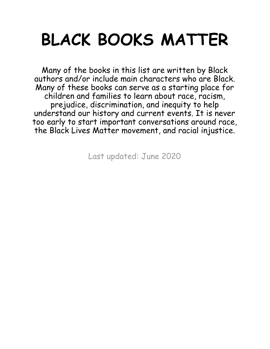## **BLACK BOOKS MATTER**

Many of the books in this list are written by Black authors and/or include main characters who are Black. Many of these books can serve as a starting place for children and families to learn about race, racism, prejudice, discrimination, and inequity to help understand our history and current events. It is never too early to start important conversations around race, the Black Lives Matter movement, and racial injustice.

Last updated: June 2020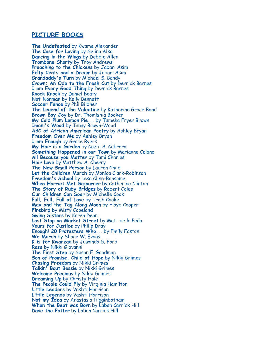## **PICTURE BOOKS**

**The Undefeated** by Kwame Alexander **The Case for Loving** by Selina Alko **Dancing in the Wings** by Debbie Allen **Trombone Shorty** by Troy Andrews **Preaching to the Chickens** by Jabari Asim **Fifty Cents and a Dream** by Jabari Asim **Grandaddy's Turn** by Michael S. Bandy **Crown: An Ode to the Fresh Cut** by Derrick Barnes **I am Every Good Thing** by Derrick Barnes **Knock Knock** by Daniel Beaty **Not Norman** by Kelly Bennett **Soccer Fence** by Phil Bildner **The Legend of the Valentine** by Katherine Grace Bond **Brown Boy Joy** by Dr. Thomishia Booker **My Cold Plum Lemon Pie...** by Tameka Fryer Brown **Imani's Wood** by Janay Brown-Wood **ABC of African American Poetry** by Ashley Bryan **Freedom Over Me** by Ashley Bryan **I am Enough** by Grace Byers **My Hair is a Garden** by Cozbi A. Cabrera **Something Happened in our Town** by Marianne Celano **All Because you Matter** by Tami Charles **Hair Love** by Matthew A. Cherry **The New Small Person** by Lauren Child **Let the Children March** by Monica Clark-Robinson **Freedom's School** by Lesa Cline-Ransome **When Harriet Met Sojourner** by Catherine Clinton **The Story of Ruby Bridges** by Robert Coles **Our Children Can Soar** by Michelle Cook **Full, Full, Full of Love** by Trish Cooke **Max and the Tag Along Moon** by Floyd Cooper **Firebird** by Misty Copeland **Swing Sisters** by Karen Dean **Last Stop on Market Street** by Matt de la Peña **Yours for Justice** by Philip Dray **Enough! 20 Protesters Who...** by Emily Easton **We March** by Shane W. Evans **K is for Kwanzaa** by Juwanda G. Ford **Rosa** by Nikki Giovanni **The First Step** by Susan E. Goodman **Son of Promise, Child of Hope** by Nikki Grimes **Chasing Freedom** by Nikki Grimes **Talkin' Bout Bessie** by Nikki Grimes **Welcome Precious** by Nikki Grimes **Dreaming Up** by Christy Hale **The People Could Fly** by Virginia Hamilton **Little Leaders** by Vashti Harrison **Little Legends** by Vashti Harrison **Not my Idea** by Anastasia Higginbotham **When the Beat was Born** by Laban Carrick Hill **Dave the Potter** by Laban Carrick Hill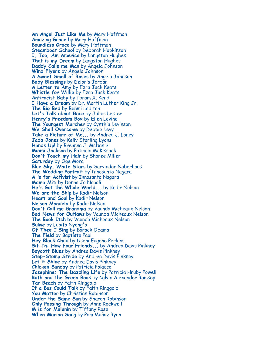**An Angel Just Like Me** by Mary Hoffman **Amazing Grace** by Mary Hoffman **Boundless Grace** by Mary Hoffman **Steamboat School** by Deborah Hopkinson **I, Too, Am America** by Langston Hughes **That is my Dream** by Langston Hughes **Daddy Calls me Man** by Angela Johnson **Wind Flyers** by Angela Johnson **A Sweet Smell of Roses** by Angela Johnson **Baby Blessings** by Deloris Jordan **A Letter to Amy** by Ezra Jack Keats **Whistle for Willie** by Ezra Jack Keats **Antiracist Baby** by Ibram X. Kendi **I Have a Dream** by Dr. Martin Luther King Jr. **The Big Bed** by Bunmi Laditan **Let's Talk about Race** by Julius Lester **Henry's Freedom Box** by Ellen Levine **The Youngest Marcher** by Cynthia Levinson **We Shall Overcome** by Debbie Levy **Take a Picture of Me...** by Andrea J. Loney **Jada Jones** by Kelly Starling Lyons **Hands Up!** by Breanna J. McDaniel **Miami Jackson** by Patricia McKissack **Don't Touch my Hair** by Sharee Miller **Saturday** by Oge Mora **Blue Sky, White Stars** by Sarvinder Naberhaus **The Wedding Portrait** by Innosanto Nagara **A is for Activist** by Innosanto Nagara **Mama Miti** by Donna Jo Napoli **He's Got the Whole World...** by Kadir Nelson **We are the Ship** by Kadir Nelson **Heart and Soul** by Kadir Nelson **Nelson Mandela** by Kadir Nelson **Don't Call me Grandma** by Vaunda Micheaux Nelson **Bad News for Outlaws** by Vaunda Micheaux Nelson **The Book Itch** by Vaunda Micheaux Nelson **Sulwe** by Lupita Nyong'o **Of Thee I Sing** by Barack Obama **The Field** by Baptiste Paul **Hey Black Child** by Useni Eugene Perkins **Sit-In: How Four Friends...** by Andrea Davis Pinkney **Boycott Blues** by Andrea Davis Pinkney **Step-Stomp Stride** by Andrea Davis Pinkney **Let it Shine** by Andrea Davis Pinkney **Chicken Sunday** by Patricia Polacco **Josephine: The Dazzling Life** by Patricia Hruby Powell **Ruth and the Green Book** by Calvin Alexander Ramsey **Tar Beach** by Faith Ringgold **If a Bus Could Talk** by Faith Ringgold **You Matter** by Christian Robinson **Under the Same Sun** by Sharon Robinson **Only Passing Through** by Anne Rockwell **M is for Melanin** by Tiffany Rose **When Marian Sang** by Pam Muñoz Ryan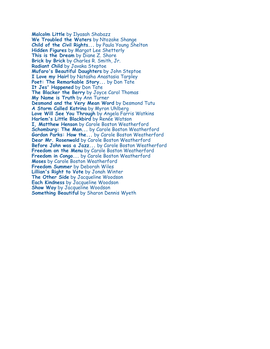**Malcolm Little** by Ilyasah Shabazz **We Troubled the Waters** by Ntozake Shange **Child of the Civil Rights...** by Paula Young Shelton **Hidden Figures** by Margot Lee Shetterly **This is the Dream** by Diane Z. Shore **Brick by Brick** by Charles R. Smith, Jr. **Radiant Child** by Javaka Steptoe **Mufaro's Beautiful Daughters** by John Steptoe **I Love my Hair!** by Natasha Anastasia Tarpley **Poet: The Remarkable Story...** by Don Tate **It Jes' Happened** by Don Tate **The Blacker the Berry** by Joyce Carol Thomas **My Name is Truth** by Ann Turner **Desmond and the Very Mean Word** by Desmond Tutu **A Storm Called Katrina** by Myron Uhlberg **Love Will See You Through** by Angela Farris Watkins **Harlem's Little Blackbird** by Renée Watson **I, Matthew Henson** by Carole Boston Weatherford **Schomburg: The Man...** by Carole Boston Weatherford **Gordon Parks: How the...** by Carole Boston Weatherford **Dear Mr. Rosenwald** by Carole Boston Weatherford **Before John was a Jazz...** by Carole Boston Weatherford **Freedom on the Menu** by Carole Boston Weatherford **Freedom in Congo...** by Carole Boston Weatherford **Moses** by Carole Boston Weatherford **Freedom Summer** by Deborah Wiles **Lillian's Right to Vote** by Jonah Winter **The Other Side** by Jacqueline Woodson **Each Kindness** by Jacqueline Woodson **Show Way** by Jacqueline Woodson **Something Beautiful** by Sharon Dennis Wyeth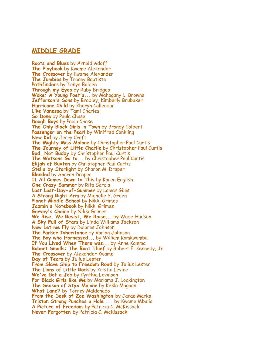## **MIDDLE GRADE**

**Roots and Blues** by Arnold Adoff **The Playbook** by Kwame Alexander **The Crossover** by Kwame Alexander **The Jumbies** by Tracey Baptiste **Pathfinders** by Tonya Bolden **Through my Eyes** by Ruby Bridges **Woke: A Young Poet's...** by Mahogany L. Browne **Jefferson's Sons** by Bradley, Kimberly Brubaker **Hurricane Child** by Kheryn Callendar **Like Vanessa** by Tami Charles **So Done** by Paula Chase **Dough Boys** by Paula Chase **The Only Black Girls in Town** by Brandy Colbert **Passenger on the Pearl** by Winifred Conkling **New Kid** by Jerry Craft **The Mighty Miss Malone** by Christopher Paul Curtis **The Journey of Little Charlie** by Christopher Paul Curtis **Bud, Not Buddy** by Christopher Paul Curtis **The Watsons Go to...** by Christopher Paul Curtis **Elijah of Buxton** by Christopher Paul Curtis **Stella by Starlight** by Sharon M. Draper **Blended** by Sharon Draper **It All Comes Down to This** by Karen English **One Crazy Summer** by Rita Garcia **Last Last-Day-of-Summer** by Lamar Giles **A Strong Right Arm** by Michelle Y. Green **Planet Middle School** by Nikki Grimes **Jazmin's Notebook** by Nikki Grimes **Garvey's Choice** by Nikki Grimes **We Rise, We Resist, We Raise...** by Wade Hudson **A Sky Full of Stars** by Linda Williams Jackson **Now Let me Fly** by Dolores Johnson **The Parker Inheritance** by Varian Johnson **The Boy who Harnessed...** by William Kamkwamba **If You Lived When There was...** by Anne Kamma **Robert Smalls: The Boat Thief** by Robert F. Kennedy, Jr. **The Crossover** by Alexander Kwame **Day of Tears** by Julius Lester **From Slave Ship to Freedom Road** by Julius Lester **The Lions of Little Rock** by Kristin Levine **We've Got a Job** by Cynthia Levinson **For Black Girls like Me** by Mariama J. Lockington **The Season of Styx Malone** by Kekla Magoon **What Lane?** by Torrey Maldonado **From the Desk of Zoe Washington** by Janae Marks **Tristan Strong Punches a Hole ...** by Kwame Mbalia **A Picture of Freedom** by Patricia C. McKissack **Never Forgotten** by Patricia C. McKissack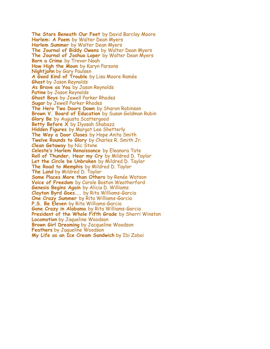**The Stars Beneath Our Feet** by David Barclay Moore **Harlem: A Poem** by Walter Dean Myers **Harlem Summer** by Walter Dean Myers **The Journal of Biddy Owens** by Walter Dean Myers **The Journal of Joshua Loper** by Walter Dean Myers **Born a Crime** by Trevor Noah **How High the Moon** by Karyn Parsons **Nightjohn** by Gary Paulsen **A Good Kind of Trouble** by Lisa Moore Ramée **Ghost** by Jason Reynolds **As Brave as You** by Jason Reynolds **Patine** by Jason Reynolds **Ghost Boys** by Jewell Parker Rhodes **Sugar** by Jewell Parker Rhodes **The Hero Two Doors Down** by Sharon Robinson **Brown V. Board of Education** by Susan Goldman Rubin **Glory Be** by Augusta Scattergood **Betty Before X** by Ilyasah Shabazz **Hidden Figures** by Margot Lee Shetterly **The Way a Door Closes** by Hope Anita Smith **Twelve Rounds to Glory** by Charles R. Smith Jr. **Clean Getaway** by Nic Stone **Celeste's Harlem Renaissance** by Eleanora Tate **Roll of Thunder, Hear my Cry** by Mildred D. Taylor **Let the Circle be Unbroken** by Mildred D. Taylor **The Road to Memphis** by Mildred D. Taylor **The Land** by Mildred D. Taylor **Some Places More than Others** by Renée Watson **Voice of Freedom** by Carole Boston Weatherford **Genesis Begins Again** by Alicia D. Williams **Clayton Byrd Goes...** by Rita Williams-Garcia **One Crazy Summer** by Rita Williams-Garcia **P.S. Be Eleven** by Rita Williams-Garcia **Gone Crazy in Alabama** by Rita Williams-Garcia **President of the Whole Fifth Grade** by Sherri Winston **Locomotion** by Jaqueline Woodson **Brown Girl Dreaming** by Jacqueline Woodson **Feathers** by Jaqueline Woodson **My Life as an Ice Cream Sandwich** by Ibi Zoboi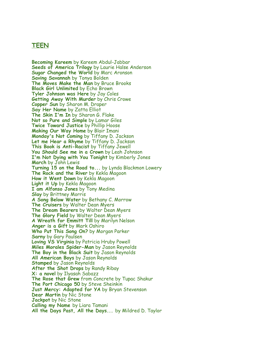## **TEEN**

**Becoming Kareem** by Kareem Abdul-Jabbar **Seeds of America Trilogy** by Laurie Halse Anderson **Sugar Changed the World** by Marc Aronson **Saving Savannah** by Tonya Bolden **The Moves Make the Man** by Bruce Brooks **Black Girl Unlimited** by Echo Brown **Tyler Johnson was Here** by Jay Coles **Getting Away With Murder** by Chris Crowe **Copper Sun** by Sharon M. Draper **Say Her Name** by Zatta Elliot **The Skin I'm In** by Sharon G. Flake **Not so Pure and Simple** by Lamar Giles **Twice Toward Justice** by Phillip Hoose **Making Our Way Home** by Blair Imani **Monday's Not Coming** by Tiffany D. Jackson **Let me Hear a Rhyme** by Tiffany D. Jackson **This Book is Anti-Racist** by Tiffany Jewell **You Should See me in a Crown** by Leah Johnson **I'm Not Dying with You Tonight** by Kimberly Jones **March** by John Lewis **Turning 15 on the Road to...** by Lynda Blackmon Lowery **The Rock and the River** by Kekla Magoon **How it Went Down** by Kekla Magoon **Light it Up** by Kekla Magoon **I am Alfonso Jones** by Tony Medina **Slay** by Brittney Morris **A Song Below Water** by Bethany C. Morrow **The Cruisers** by Walter Dean Myers **The Dream Bearers** by Walter Dean Myers **The Glory Field** by Walter Dean Myers **A Wreath for Emmitt Till** by Marilyn Nelson **Anger is a Gift** by Mark Oshiro **Who Put This Song On?** by Morgan Parker **Sarny** by Gary Paulsen **Loving VS Virginia** by Patricia Hruby Powell **Miles Morales Spider-Man** by Jason Reynolds **The Boy in the Black Suit** by Jason Reynolds **All American Boys** by Jason Reynolds **Stamped** by Jason Reynolds **After the Shot Drops** by Randy Ribay **X: a novel** by Ilyasah Sabazz **The Rose that Grew** from Concrete by Tupac Shakur **The Port Chicago 50** by Steve Sheinkin **Just Mercy: Adapted for YA** by Bryan Stevenson **Dear Martin** by Nic Stone **Jackpot** by Nic Stone **Calling my Name** by Liara Tamani **All the Days Past, All the Days...** by Mildred D. Taylor